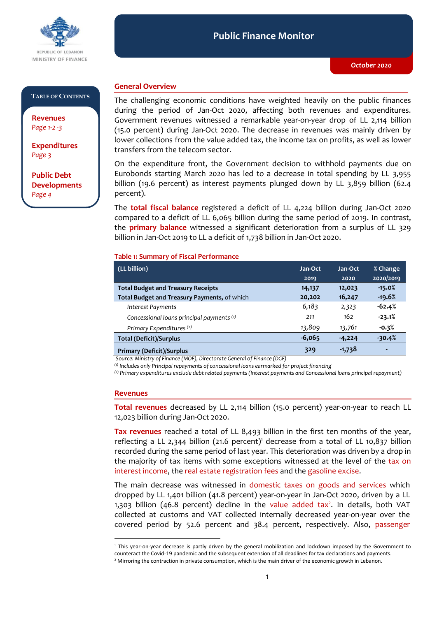

### **Public Finance Monitor** *October 2020* **Public Finance Monitor**

#### **TABLE OF CONTENTS**

**Revenues**  *Page 1-2 -3*

**Expenditures**  *Page 3*

**Public Debt Developments** *Page 4*

## **General Overview**

The challenging economic conditions have weighted heavily on the public finances during the period of Jan-Oct 2020, affecting both revenues and expenditures. Government revenues witnessed a remarkable year-on-year drop of LL 2,114 billion (15.0 percent) during Jan-Oct 2020. The decrease in revenues was mainly driven by lower collections from the value added tax, the income tax on profits, as well as lower transfers from the telecom sector.

On the expenditure front, the Government decision to withhold payments due on Eurobonds starting March 2020 has led to a decrease in total spending by LL 3,955 billion (19.6 percent) as interest payments plunged down by LL 3,859 billion (62.4 percent).

The **total fiscal balance** registered a deficit of LL 4,224 billion during Jan-Oct 2020 compared to a deficit of LL 6,065 billion during the same period of 2019. In contrast, the **primary balance** witnessed a significant deterioration from a surplus of LL 329 billion in Jan-Oct 2019 to LL a deficit of 1,738 billion in Jan-Oct 2020.

### **Table 1: Summary of Fiscal Performance**

| (LL billion)                                 | Jan-Oct  | Jan-Oct  | % Change  |
|----------------------------------------------|----------|----------|-----------|
|                                              | 2019     | 2020     | 2020/2019 |
| <b>Total Budget and Treasury Receipts</b>    | 14,137   | 12,023   | $-15.0%$  |
| Total Budget and Treasury Payments, of which | 20,202   | 16,247   | $-19.6%$  |
| Interest Payments                            | 6,183    | 2,323    | $-62.4%$  |
| Concessional loans principal payments (1)    | 211      | 162      | $-23.1%$  |
| Primary Expenditures <sup>(2)</sup>          | 13,809   | 13,761   | $-0.3%$   |
| <b>Total (Deficit)/Surplus</b>               | $-6,065$ | $-4,224$ | $-30.4%$  |
| <b>Primary (Deficit)/Surplus</b>             | 329      | $-1,738$ | ٠         |

*Source: Ministry of Finance (MOF), Directorate General of Finance (DGF)*

*(1) Includes only Principal repayments of concessional loans earmarked for project financing*

*(2) Primary expenditures exclude debt related payments (Interest payments and Concessional loans principal repayment)*

#### **Revenues**

-

**Total revenues** decreased by LL 2,114 billion (15.0 percent) year-on-year to reach LL 12,023 billion during Jan-Oct 2020.

**Tax revenues** reached a total of LL 8,493 billion in the first ten months of the year, reflecting a LL 2,344 billion (21.6 percent)<sup>1</sup> decrease from a total of LL 10,837 billion recorded during the same period of last year. This deterioration was driven by a drop in the majority of tax items with some exceptions witnessed at the level of the tax on interest income, the real estate registration fees and the gasoline excise.

The main decrease was witnessed in domestic taxes on goods and services which dropped by LL 1,401 billion (41.8 percent) year-on-year in Jan-Oct 2020, driven by a LL 1,303 billion (46.8 percent) decline in the value added tax<sup>2</sup>. In details, both VAT collected at customs and VAT collected internally decreased year-on-year over the covered period by 52.6 percent and 38.4 percent, respectively. Also, passenger

<sup>1</sup> This year-on-year decrease is partly driven by the general mobilization and lockdown imposed by the Government to counteract the Covid-19 pandemic and the subsequent extension of all deadlines for tax declarations and payments.

<sup>&</sup>lt;sup>2</sup> Mirroring the contraction in private consumption, which is the main driver of the economic growth in Lebanon.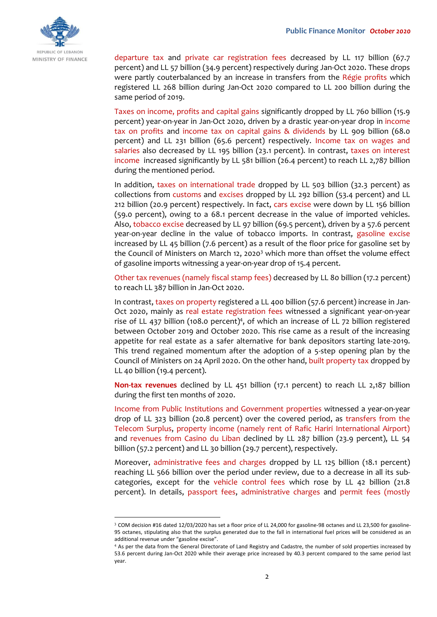

departure tax and private car registration fees decreased by LL 117 billion (67.7 percent) and LL 57 billion (34.9 percent) respectively during Jan-Oct 2020. These drops were partly couterbalanced by an increase in transfers from the Régie profits which registered LL 268 billion during Jan-Oct 2020 compared to LL 200 billion during the same period of 2019.

Taxes on income, profits and capital gains significantly dropped by LL 760 billion (15.9 percent) year-on-year in Jan-Oct 2020, driven by a drastic year-on-year drop in income tax on profits and income tax on capital gains & dividends by LL 909 billion (68.0 percent) and LL 231 billion (65.6 percent) respectively. Income tax on wages and salaries also decreased by LL 195 billion (23.1 percent). In contrast, taxes on interest income increased significantly by LL 581 billion (26.4 percent) to reach LL 2,787 billion during the mentioned period.

In addition, taxes on international trade dropped by LL 503 billion (32.3 percent) as collections from customs and excises dropped by LL 292 billion (53.4 percent) and LL 212 billion (20.9 percent) respectively. In fact, cars excise were down by LL 156 billion (59.0 percent), owing to a 68.1 percent decrease in the value of imported vehicles. Also, tobacco excise decreased by LL 97 billion (69.5 percent), driven by a 57.6 percent year-on-year decline in the value of tobacco imports. In contrast, gasoline excise increased by LL 45 billion (7.6 percent) as a result of the floor price for gasoline set by the Council of Ministers on March 12, 2020<sup>3</sup> which more than offset the volume effect of gasoline imports witnessing a year-on-year drop of 15.4 percent.

Other tax revenues (namely fiscal stamp fees) decreased by LL 80 billion (17.2 percent) to reach LL 387 billion in Jan-Oct 2020.

In contrast, taxes on property registered a LL 400 billion (57.6 percent) increase in Jan-Oct 2020, mainly as real estate registration fees witnessed a significant year-on-year rise of LL 437 billion (108.0 percent)<sup>4</sup>, of which an increase of LL 72 billion registered between October 2019 and October 2020. This rise came as a result of the increasing appetite for real estate as a safer alternative for bank depositors starting late-2019. This trend regained momentum after the adoption of a 5-step opening plan by the Council of Ministers on 24 April 2020. On the other hand, built property tax dropped by LL 40 billion (19.4 percent).

**Non-tax revenues** declined by LL 451 billion (17.1 percent) to reach LL 2,187 billion during the first ten months of 2020.

Income from Public Institutions and Government properties witnessed a year-on-year drop of LL 323 billion (20.8 percent) over the covered period, as transfers from the Telecom Surplus, property income (namely rent of Rafic Hariri International Airport) and revenues from Casino du Liban declined by LL 287 billion (23.9 percent), LL 54 billion (57.2 percent) and LL 30 billion (29.7 percent), respectively.

Moreover, administrative fees and charges dropped by LL 125 billion (18.1 percent) reaching LL 566 billion over the period under review, due to a decrease in all its subcategories, except for the vehicle control fees which rose by LL 42 billion (21.8 percent). In details, passport fees, administrative charges and permit fees (mostly

-

<sup>3</sup> COM decision #16 dated 12/03/2020 has set a floor price of LL 24,000 for gasoline-98 octanes and LL 23,500 for gasoline-95 octanes, stipulating also that the surplus generated due to the fall in international fuel prices will be considered as an additional revenue under "gasoline excise".

<sup>4</sup> As per the data from the General Directorate of Land Registry and Cadastre, the number of sold properties increased by 53.6 percent during Jan-Oct 2020 while their average price increased by 40.3 percent compared to the same period last year.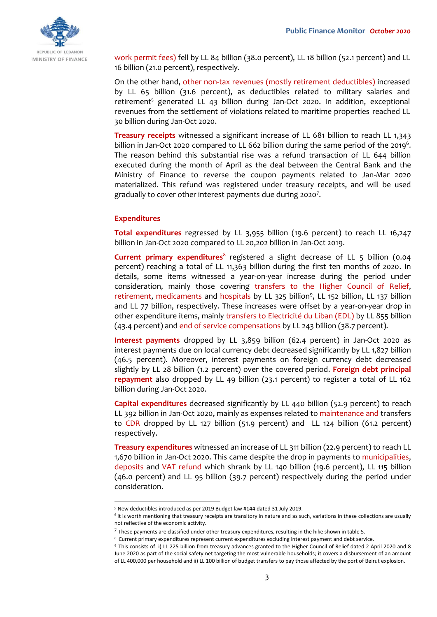

work permit fees) fell by LL 84 billion (38.0 percent), LL 18 billion (52.1 percent) and LL 16 billion (21.0 percent), respectively.

On the other hand, other non-tax revenues (mostly retirement deductibles) increased by LL 65 billion (31.6 percent), as deductibles related to military salaries and retirement<sup>5</sup> generated LL 43 billion during Jan-Oct 2020. In addition, exceptional revenues from the settlement of violations related to maritime properties reached LL 30 billion during Jan-Oct 2020.

**Treasury receipts** witnessed a significant increase of LL 681 billion to reach LL 1,343 billion in Jan-Oct 2020 compared to LL 662 billion during the same period of the 2019<sup>6</sup>. The reason behind this substantial rise was a refund transaction of LL 644 billion executed during the month of April as the deal between the Central Bank and the Ministry of Finance to reverse the coupon payments related to Jan-Mar 2020 materialized. This refund was registered under treasury receipts, and will be used gradually to cover other interest payments due during 2020<sup>7</sup>.

## **Expenditures**

-

**Total expenditures** regressed by LL 3,955 billion (19.6 percent) to reach LL 16,247 billion in Jan-Oct 2020 compared to LL 20,202 billion in Jan-Oct 2019.

**Current primary expenditures**<sup>8</sup> registered a slight decrease of LL 5 billion (0.04 percent) reaching a total of LL 11,363 billion during the first ten months of 2020. In details, some items witnessed a year-on-year increase during the period under consideration, mainly those covering transfers to the Higher Council of Relief, retirement, medicaments and hospitals by LL 325 billion<sup>9</sup>, LL 152 billion, LL 137 billion and LL 77 billion, respectively. These increases were offset by a year-on-year drop in other expenditure items, mainly transfers to Electricité du Liban (EDL) by LL 855 billion (43.4 percent) and end of service compensations by LL 243 billion (38.7 percent).

**Interest payments** dropped by LL 3,859 billion (62.4 percent) in Jan-Oct 2020 as interest payments due on local currency debt decreased significantly by LL 1,827 billion (46.5 percent). Moreover, interest payments on foreign currency debt decreased slightly by LL 28 billion (1.2 percent) over the covered period. **Foreign debt principal repayment** also dropped by LL 49 billion (23.1 percent) to register a total of LL 162 billion during Jan-Oct 2020.

**Capital expenditures** decreased significantly by LL 440 billion (52.9 percent) to reach LL 392 billion in Jan-Oct 2020, mainly as expenses related to maintenance and transfers to CDR dropped by LL 127 billion (51.9 percent) and LL 124 billion (61.2 percent) respectively.

**Treasury expenditures** witnessed an increase of LL 311 billion (22.9 percent) to reach LL 1,670 billion in Jan-Oct 2020. This came despite the drop in payments to municipalities, deposits and VAT refund which shrank by LL 140 billion (19.6 percent), LL 115 billion (46.0 percent) and LL 95 billion (39.7 percent) respectively during the period under consideration.

<sup>5</sup> New deductibles introduced as per 2019 Budget law #144 dated 31 July 2019.

<sup>&</sup>lt;sup>6</sup>It is worth mentioning that treasury receipts are transitory in nature and as such, variations in these collections are usually not reflective of the economic activity.

 $^7$  These payments are classified under other treasury expenditures, resulting in the hike shown in table 5.

<sup>&</sup>lt;sup>8</sup> Current primary expenditures represent current expenditures excluding interest payment and debt service.

<sup>9</sup> This consists of: i) LL 225 billion from treasury advances granted to the Higher Council of Relief dated 2 April 2020 and 8 June 2020 as part of the social safety net targeting the most vulnerable households; it covers a disbursement of an amount of LL 400,000 per household and ii) LL 100 billion of budget transfers to pay those affected by the port of Beirut explosion.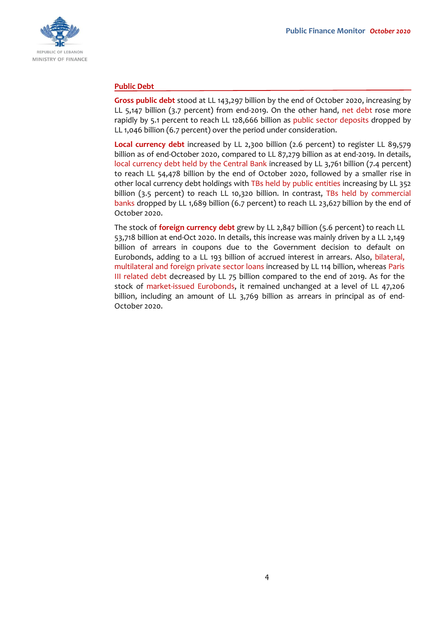

## **Public Debt**

**Gross public debt** stood at LL 143,297 billion by the end of October 2020, increasing by LL 5,147 billion (3.7 percent) from end-2019. On the other hand, net debt rose more rapidly by 5.1 percent to reach LL 128,666 billion as public sector deposits dropped by LL 1,046 billion (6.7 percent) over the period under consideration.

**Local currency debt** increased by LL 2,300 billion (2.6 percent) to register LL 89,579 billion as of end-October 2020, compared to LL 87,279 billion as at end-2019. In details, local currency debt held by the Central Bank increased by LL 3,761 billion (7.4 percent) to reach LL 54,478 billion by the end of October 2020, followed by a smaller rise in other local currency debt holdings with TBs held by public entities increasing by LL 352 billion (3.5 percent) to reach LL 10,320 billion. In contrast, TBs held by commercial banks dropped by LL 1,689 billion (6.7 percent) to reach LL 23,627 billion by the end of October 2020.

The stock of **foreign currency debt** grew by LL 2,847 billion (5.6 percent) to reach LL 53,718 billion at end-Oct 2020. In details, this increase was mainly driven by a LL 2,149 billion of arrears in coupons due to the Government decision to default on Eurobonds, adding to a LL 193 billion of accrued interest in arrears. Also, bilateral, multilateral and foreign private sector loans increased by LL 114 billion, whereas Paris III related debt decreased by LL 75 billion compared to the end of 2019. As for the stock of market-issued Eurobonds, it remained unchanged at a level of LL 47,206 billion, including an amount of LL 3,769 billion as arrears in principal as of end-October 2020.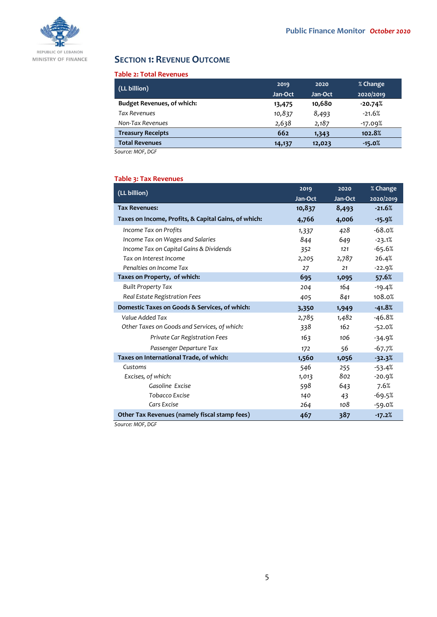

# **SECTION 1: REVENUE OUTCOME**

### **Table 2: Total Revenues**

| (LL billion)                      | 2019    | 2020    | % Change  |
|-----------------------------------|---------|---------|-----------|
|                                   | Jan-Oct | Jan-Oct | 2020/2019 |
| <b>Budget Revenues, of which:</b> | 13,475  | 10,680  | $-20.74%$ |
| <b>Tax Revenues</b>               | 10,837  | 8,493   | $-21.6%$  |
| Non-Tax Revenues                  | 2,638   | 2,187   | $-17.09%$ |
| <b>Treasury Receipts</b>          | 662     | 1,343   | 102.8%    |
| <b>Total Revenues</b>             | 14,137  | 12,023  | $-15.0%$  |

*Source: MOF, DGF*

## **Table 3: Tax Revenues**

| (LL billion)                                         | 2019    | 2020    | % Change  |
|------------------------------------------------------|---------|---------|-----------|
|                                                      | Jan-Oct | Jan-Oct | 2020/2019 |
| <b>Tax Revenues:</b>                                 | 10,837  | 8,493   | $-21.6%$  |
| Taxes on Income, Profits, & Capital Gains, of which: | 4,766   | 4,006   | $-15.9%$  |
| Income Tax on Profits                                | 1,337   | 428     | $-68.0%$  |
| Income Tax on Wages and Salaries                     | 844     | 649     | $-23.1%$  |
| Income Tax on Capital Gains & Dividends              | 352     | 121     | $-65.6%$  |
| Tax on Interest Income                               | 2,205   | 2,787   | 26.4%     |
| Penalties on Income Tax                              | 27      | 21      | $-22.9%$  |
| Taxes on Property, of which:                         | 695     | 1,095   | 57.6%     |
| <b>Built Property Tax</b>                            | 204     | 164     | $-19.4%$  |
| Real Estate Registration Fees                        | 405     | 841     | 108.0%    |
| Domestic Taxes on Goods & Services, of which:        | 3,350   | 1,949   | $-41.8%$  |
| Value Added Tax                                      | 2,785   | 1,482   | $-46.8%$  |
| Other Taxes on Goods and Services, of which:         | 338     | 162     | $-52.0%$  |
| Private Car Registration Fees                        | 163     | 106     | $-34.9%$  |
| Passenger Departure Tax                              | 172     | 56      | $-67.7%$  |
| Taxes on International Trade, of which:              | 1,560   | 1,056   | $-32.3%$  |
| Customs                                              | 546     | 255     | $-53.4%$  |
| Excises, of which:                                   | 1,013   | 802     | $-20.9%$  |
| Gasoline Excise                                      | 598     | 643     | 7.6%      |
| Tobacco Excise                                       | 140     | 43      | $-69.5%$  |
| Cars Excise                                          | 264     | 108     | $-59.0%$  |
| Other Tax Revenues (namely fiscal stamp fees)        | 467     | 387     | $-17.2%$  |

*Source: MOF, DGF*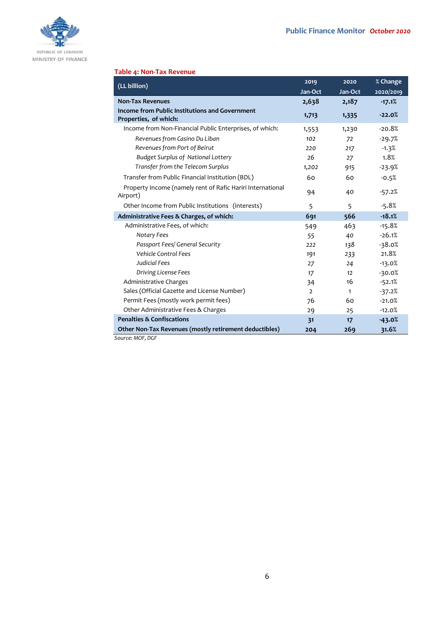

## **Table 4: Non-Tax Revenue**

| (LL billion)                                                            | 2019           | 2020    | % Change  |
|-------------------------------------------------------------------------|----------------|---------|-----------|
|                                                                         | Jan-Oct        | Jan-Oct | 2020/2019 |
| <b>Non-Tax Revenues</b>                                                 | 2,638          | 2,187   | $-17.1%$  |
| Income from Public Institutions and Government<br>Properties, of which: | 1,713          | 1,335   | $-22.0%$  |
| Income from Non-Financial Public Enterprises, of which:                 | 1,553          | 1,230   | $-20.8%$  |
| Revenues from Casino Du Liban                                           | 102            | 72      | $-29.7%$  |
| Revenues from Port of Beirut                                            | 220            | 217     | $-1.3%$   |
| <b>Budget Surplus of National Lottery</b>                               | 26             | 27      | 1.8%      |
| Transfer from the Telecom Surplus                                       | 1,202          | 915     | $-23.9%$  |
| Transfer from Public Financial Institution (BDL)                        | 60             | 60      | $-0.5%$   |
| Property Income (namely rent of Rafic Hariri International<br>Airport)  | 94             | 40      | $-57.2%$  |
| Other Income from Public Institutions (interests)                       | 5              | 5       | $-5.8%$   |
| Administrative Fees & Charges, of which:                                | 691            | 566     | $-18.1%$  |
| Administrative Fees, of which:                                          | 549            | 463     | $-15.8%$  |
| Notary Fees                                                             | 55             | 40      | $-26.1%$  |
| Passport Fees/ General Security                                         | 222            | 138     | $-38.0%$  |
| <b>Vehicle Control Fees</b>                                             | 191            | 233     | 21.8%     |
| Judicial Fees                                                           | 27             | 24      | $-13.0%$  |
| Driving License Fees                                                    | 17             | 12      | $-30.0%$  |
| Administrative Charges                                                  | 34             | 16      | $-52.1%$  |
| Sales (Official Gazette and License Number)                             | $\overline{2}$ | 1       | $-37.2%$  |
| Permit Fees (mostly work permit fees)                                   | 76             | 60      | $-21.0%$  |
| Other Administrative Fees & Charges                                     | 29             | 25      | $-12.0%$  |
| <b>Penalties &amp; Confiscations</b>                                    | 31             | 17      | $-43.0%$  |
| Other Non-Tax Revenues (mostly retirement deductibles)                  | 204            | 269     | 31.6%     |
| Source: MOE, DGE                                                        |                |         |           |

*Source: MOF, DGF*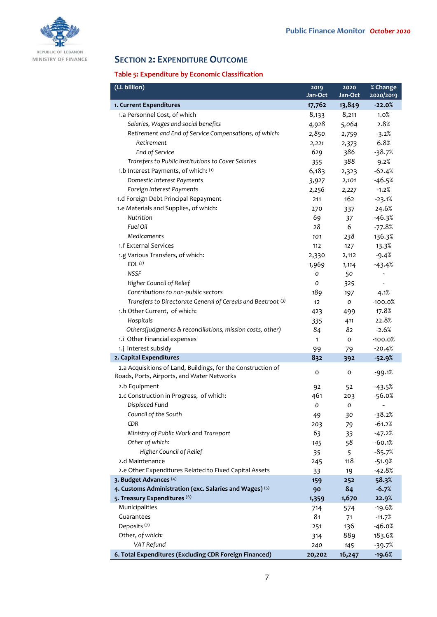

# **SECTION 2: EXPENDITURE OUTCOME**

## **Table 5: Expenditure by Economic Classification**

| (LL billion)                                                                                               | 2019         | 2020    | % Change  |
|------------------------------------------------------------------------------------------------------------|--------------|---------|-----------|
|                                                                                                            | Jan-Oct      | Jan-Oct | 2020/2019 |
| 1. Current Expenditures                                                                                    | 17,762       | 13,849  | $-22.0%$  |
| 1.a Personnel Cost, of which                                                                               | 8,133        | 8,211   | 1.0%      |
| Salaries, Wages and social benefits                                                                        | 4,928        | 5,064   | 2.8%      |
| Retirement and End of Service Compensations, of which:                                                     | 2,850        | 2,759   | $-3.2%$   |
| Retirement                                                                                                 | 2,221        | 2,373   | 6.8%      |
| End of Service                                                                                             | 629          | 386     | $-38.7%$  |
| Transfers to Public Institutions to Cover Salaries                                                         | 355          | 388     | 9.2%      |
| 1.b Interest Payments, of which: (1)                                                                       | 6,183        | 2,323   | $-62.4%$  |
| Domestic Interest Payments                                                                                 | 3,927        | 2,101   | $-46.5%$  |
| Foreign Interest Payments                                                                                  | 2,256        | 2,227   | $-1.2%$   |
| 1.d Foreign Debt Principal Repayment                                                                       | 211          | 162     | $-23.1%$  |
| 1.e Materials and Supplies, of which:                                                                      | 270          | 337     | 24.6%     |
| Nutrition                                                                                                  | 69           | 37      | $-46.3%$  |
| Fuel Oil                                                                                                   | 28           | 6       | $-77.8%$  |
| <b>Medicaments</b>                                                                                         | 101          | 238     | 136.3%    |
| 1.f External Services                                                                                      | 112          | 127     | 13.3%     |
| 1.g Various Transfers, of which:                                                                           | 2,330        | 2,112   | $-9.4%$   |
| EDL <sup>(2)</sup>                                                                                         | 1,969        | 1,114   | $-43.4%$  |
| <b>NSSF</b>                                                                                                | O            | 50      |           |
| Higher Council of Relief                                                                                   | O            | 325     |           |
| Contributions to non-public sectors                                                                        | 189          | 197     | 4.1%      |
| Transfers to Directorate General of Cereals and Beetroot (3)                                               | 12           | o       | $-100.0%$ |
| 1.h Other Current, of which:                                                                               | 423          | 499     | 17.8%     |
| Hospitals                                                                                                  | 335          | 411     | 22.8%     |
| Others(judgments & reconciliations, mission costs, other)                                                  | 84           | 82      | $-2.6%$   |
| 1.i Other Financial expenses                                                                               | $\mathbf{1}$ | o       | $-100.0%$ |
| 1.j Interest subsidy                                                                                       | 99           | 79      | $-20.4%$  |
| 2. Capital Expenditures                                                                                    | 832          | 392     | $-52.9%$  |
| 2.a Acquisitions of Land, Buildings, for the Construction of<br>Roads, Ports, Airports, and Water Networks | 0            | 0       | $-99.1%$  |
| 2.b Equipment                                                                                              | 92           | 52      | $-43.5%$  |
| 2.c Construction in Progress, of which:                                                                    | 461          | 203     | $-56.0%$  |
| Displaced Fund                                                                                             | 0            | O       |           |
| Council of the South                                                                                       | 49           | 30      | $-38.2%$  |
| CDR                                                                                                        | 203          | 79      | $-61.2%$  |
| Ministry of Public Work and Transport                                                                      | 63           | 33      | $-47.2%$  |
| Other of which:                                                                                            | 145          | 58      | $-60.1%$  |
| Higher Council of Relief                                                                                   | 35           | 5       | $-85.7%$  |
| 2.d Maintenance                                                                                            | 245          | 118     | $-51.9%$  |
| 2.e Other Expenditures Related to Fixed Capital Assets                                                     | 33           | 19      | $-42.8%$  |
| 3. Budget Advances (4)                                                                                     | 159          | 252     | 58.3%     |
| 4. Customs Administration (exc. Salaries and Wages) (5)                                                    | 90           | 84      | $-6.7%$   |
| 5. Treasury Expenditures (6)                                                                               | 1,359        | 1,670   | 22.9%     |
| Municipalities                                                                                             | 714          | 574     | $-19.6%$  |
| Guarantees                                                                                                 | 81           | 71      | $-11.7%$  |
| Deposits <sup>(7)</sup>                                                                                    | 251          | 136     | $-46.0%$  |
| Other, of which:                                                                                           | 314          | 889     | 183.6%    |
| VAT Refund                                                                                                 | 240          | 145     | $-39.7%$  |
| 6. Total Expenditures (Excluding CDR Foreign Financed)                                                     | 20,202       | 16,247  | $-19.6%$  |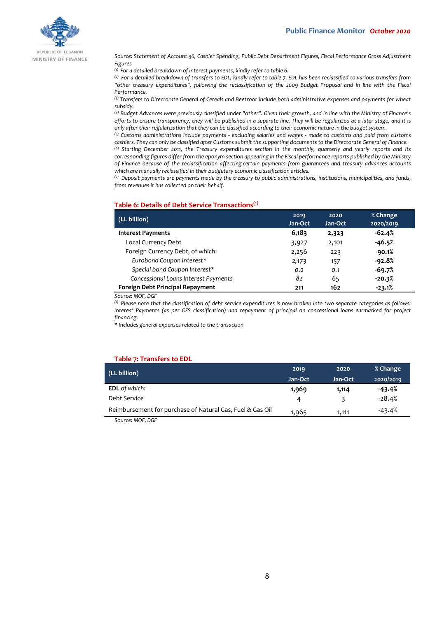

REPUBLIC OF LEBANON MINISTRY OF FINANCE

*Source: Statement of Account 36, Cashier Spending, Public Debt Department Figures, Fiscal Performance Gross Adjustment Figures*

*(1) For a detailed breakdown of interest payments, kindly refer to table 6.*

*(2) For a detailed breakdown of transfers to EDL, kindly refer to table 7. EDL has been reclassified to various transfers from "other treasury expenditures", following the reclassification of the 2009 Budget Proposal and in line with the Fiscal Performance.*

*(3) Transfers to Directorate General of Cereals and Beetroot include both administrative expenses and payments for wheat subsidy.*

*(4) Budget Advances were previously classified under "other". Given their growth, and in line with the Ministry of Finance's efforts to ensure transparency, they will be published in a separate line. They will be regularized at a later stage, and it is only after their regularization that they can be classified according to their economic nature in the budget system.*

*(5) Customs administrations include payments - excluding salaries and wages - made to customs and paid from customs cashiers. They can only be classified after Customs submit the supporting documents to the Directorate General of Finance.*

*(6) Starting December 2011, the Treasury expenditures section in the monthly, quarterly and yearly reports and its corresponding figures differ from the eponym section appearing in the Fiscal performance reports published by the Ministry of Finance because of the reclassification affecting certain payments from guarantees and treasury advances accounts which are manually reclassified in their budgetary economic classification articles.*

*(7) Deposit payments are payments made by the treasury to public administrations, institutions, municipalities, and funds, from revenues it has collected on their behalf.*

#### **Table 6: Details of Debt Service Transactions(1)**

| (LL billion)                         | 2019<br>Jan-Oct | 2020<br>Jan-Oct | % Change<br>2020/2019 |
|--------------------------------------|-----------------|-----------------|-----------------------|
| <b>Interest Payments</b>             | 6,183           | 2,323           | $-62.4%$              |
| Local Currency Debt                  | 3,927           | 2,101           | $-46.5%$              |
| Foreign Currency Debt, of which:     | 2,256           | 223             | $-90.1%$              |
| Eurobond Coupon Interest*            | 2,173           | 157             | $-92.8%$              |
| Special bond Coupon Interest*        | 0.2             | 0.1             | $-69.7%$              |
| Concessional Loans Interest Payments | 82              | 65              | $-20.3%$              |
| Foreign Debt Principal Repayment     | 211             | 162             | $-23.1%$              |

*Source: MOF, DGF*

*(1) Please note that the classification of debt service expenditures is now broken into two separate categories as follows: Interest Payments (as per GFS classification) and repayment of principal on concessional loans earmarked for project financing.*

*\* Includes general expenses related to the transaction*

#### **Table 7: Transfers to EDL**

| 2019    | 2020    | % Change  |
|---------|---------|-----------|
| Jan-Oct | Jan-Oct | 2020/2019 |
| 1,969   | 1,114   | -43.4%    |
| 4       | ₹       | $-28.4%$  |
| 1,965   | 1.111   | $-43.4%$  |
|         |         |           |

*Source: MOF, DGF*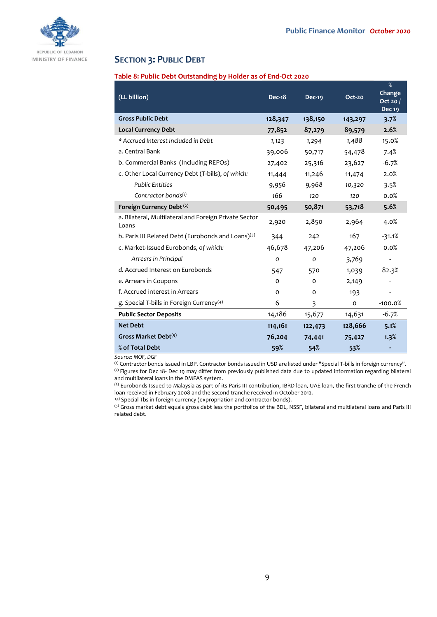

## **SECTION 3: PUBLIC DEBT**

## **Table 8: Public Debt Outstanding by Holder as of End-Oct 2020**

| (LL billion)                                                   | <b>Dec-18</b> | Dec-19        | Oct-20  | $\%$<br><b>Change</b><br>Oct 20 $/$<br><b>Dec 19</b> |
|----------------------------------------------------------------|---------------|---------------|---------|------------------------------------------------------|
| <b>Gross Public Debt</b>                                       | 128,347       | 138,150       | 143,297 | 3.7%                                                 |
| <b>Local Currency Debt</b>                                     | 77,852        | 87,279        | 89,579  | 2.6%                                                 |
| * Accrued Interest Included in Debt                            | 1,123         | 1,294         | 1,488   | 15.0%                                                |
| a. Central Bank                                                | 39,006        | 50,717        | 54,478  | 7.4%                                                 |
| b. Commercial Banks (Including REPOs)                          | 27,402        | 25,316        | 23,627  | $-6.7%$                                              |
| c. Other Local Currency Debt (T-bills), of which:              | 11,444        | 11,246        | 11,474  | 2.0%                                                 |
| <b>Public Entities</b>                                         | 9,956         | 9,968         | 10,320  | 3.5%                                                 |
| Contractor bonds $(1)$                                         | 166           | 120           | 120     | 0.0%                                                 |
| Foreign Currency Debt <sup>(2)</sup>                           | 50,495        | 50,871        | 53,718  | 5.6%                                                 |
| a. Bilateral, Multilateral and Foreign Private Sector<br>Loans | 2,920         | 2,850         | 2,964   | 4.0%                                                 |
| b. Paris III Related Debt (Eurobonds and Loans)(3)             | 344           | 242           | 167     | $-31.1%$                                             |
| c. Market-Issued Eurobonds, of which:                          | 46,678        | 47,206        | 47,206  | 0.0%                                                 |
| Arrears in Principal                                           | $\mathcal{O}$ | $\mathcal{O}$ | 3,769   |                                                      |
| d. Accrued Interest on Eurobonds                               | 547           | 570           | 1,039   | 82.3%                                                |
| e. Arrears in Coupons                                          | $\Omega$      | $\circ$       | 2,149   |                                                      |
| f. Accrued interest in Arrears                                 | $\Omega$      | $\Omega$      | 193     |                                                      |
| g. Special T-bills in Foreign Currency <sup>(4)</sup>          | 6             | 3             | 0       | $-100.0%$                                            |
| <b>Public Sector Deposits</b>                                  | 14,186        | 15,677        | 14,631  | $-6.7%$                                              |
| <b>Net Debt</b>                                                | 114,161       | 122,473       | 128,666 | 5.1%                                                 |
| Gross Market Debt <sup>(5)</sup>                               | 76,204        | 74,441        | 75,427  | 1.3%                                                 |
| % of Total Debt                                                | 59%           | 54%           | 53%     |                                                      |

*Source: MOF, DGF*

(1) Contractor bonds issued in LBP. Contractor bonds issued in USD are listed under "Special T-bills in foreign currency". (2) Figures for Dec 18- Dec 19 may differ from previously published data due to updated information regarding bilateral and multilateral loans in the DMFAS system.

<sup>(3)</sup> Eurobonds Issued to Malaysia as part of its Paris III contribution, IBRD loan, UAE loan, the first tranche of the French loan received in February 2008 and the second tranche received in October 2012.

(4) Special Tbs in foreign currency (expropriation and contractor bonds).

(5) Gross market debt equals gross debt less the portfolios of the BDL, NSSF, bilateral and multilateral loans and Paris III related debt.